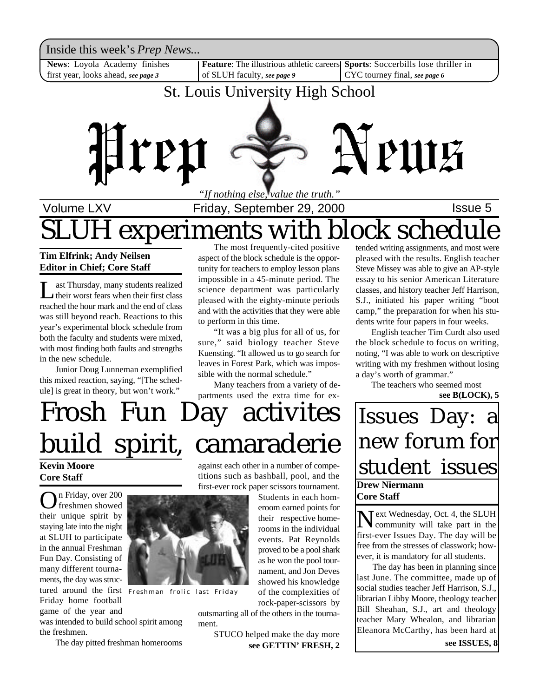Inside this week's *Prep News*...

**News**: Loyola Academy finishes first year, looks ahead, *see page 3*

**Feature:** The illustrious athletic careers of SLUH faculty, *see page 9*

**Sports**: Soccerbills lose thriller in CYC tourney final, *see page 6*

### St. Louis University High School



# Volume LXV **Interpretent Controller Friday, September 29, 2000 ISSUE 5** experiments with block sched

#### **Tim Elfrink; Andy Neilsen Editor in Chief; Core Staff**

Let Thursday, many students realized<br>their worst fears when their first class<br>reached the hour mark and the end of class ast Thursday, many students realized their worst fears when their first class was still beyond reach. Reactions to this year's experimental block schedule from both the faculty and students were mixed, with most finding both faults and strengths in the new schedule.

Junior Doug Lunneman exemplified this mixed reaction, saying, "[The schedule] is great in theory, but won't work."

The most frequently-cited positive aspect of the block schedule is the opportunity for teachers to employ lesson plans impossible in a 45-minute period. The science department was particularly pleased with the eighty-minute periods and with the activities that they were able to perform in this time.

"It was a big plus for all of us, for sure," said biology teacher Steve Kuensting. "It allowed us to go search for leaves in Forest Park, which was impossible with the normal schedule."

Many teachers from a variety of departments used the extra time for ex-

# Frosh Fun Day activites build spirit, camaraderie

### **Kevin Moore Core Staff**

On Friday, over 200 n Friday, over 200 their unique spirit by staying late into the night at SLUH to participate in the annual Freshman Fun Day. Consisting of many different tournaments, the day was structured around the first Friday home football game of the year and

was intended to build school spirit among the freshmen.

The day pitted freshman homerooms

against each other in a number of competitions such as bashball, pool, and the first-ever rock paper scissors tournament.

Students in each homeroom earned points for their respective homerooms in the individual events. Pat Reynolds proved to be a pool shark as he won the pool tournament, and Jon Deves showed his knowledge of the complexities of

rock-paper-scissors by

outsmarting all of the others in the tournament.

> **see GETTIN' FRESH, 2 see ISSUES, 8** STUCO helped make the day more

tended writing assignments, and most were pleased with the results. English teacher Steve Missey was able to give an AP-style essay to his senior American Literature classes, and history teacher Jeff Harrison, S.J., initiated his paper writing "boot camp," the preparation for when his students write four papers in four weeks.

English teacher Tim Curdt also used the block schedule to focus on writing, noting, "I was able to work on descriptive writing with my freshmen without losing a day's worth of grammar."

The teachers who seemed most **see B(LOCK), 5**

### **Drew Niermann Core Staff** Issues Day: a new forum for student issues

Next Wednesday, Oct. 4, the SLUH<br>community will take part in the community will take part in the first-ever Issues Day. The day will be free from the stresses of classwork; however, it is mandatory for all students.

The day has been in planning since last June. The committee, made up of social studies teacher Jeff Harrison, S.J., librarian Libby Moore, theology teacher Bill Sheahan, S.J., art and theology teacher Mary Whealon, and librarian Eleanora McCarthy, has been hard at



Freshman frolic last Friday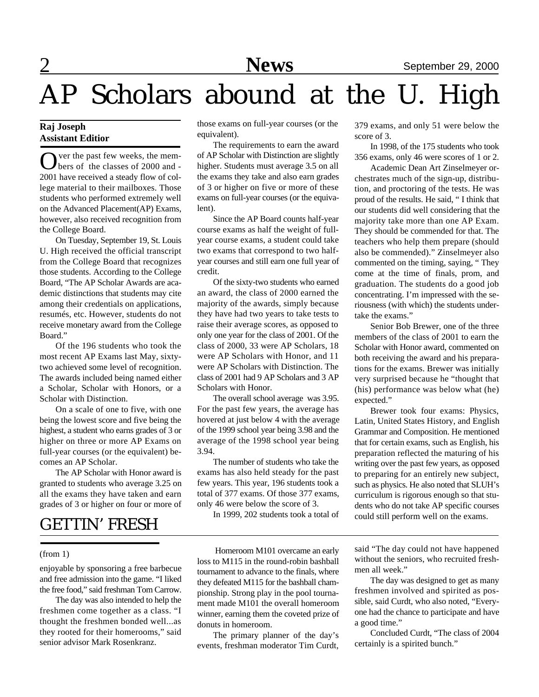# AP Scholars abound at the U. High

#### **Raj Joseph Assistant Editior**

Over the past few weeks, the mem-<br>bers of the classes of 2000 and bers of the classes of 2000 and - 2001 have received a steady flow of college material to their mailboxes. Those students who performed extremely well on the Advanced Placement(AP) Exams, however, also received recognition from the College Board.

On Tuesday, September 19, St. Louis U. High received the official transcript from the College Board that recognizes those students. According to the College Board, "The AP Scholar Awards are academic distinctions that students may cite among their credentials on applications, resumés, etc. However, students do not receive monetary award from the College Board."

Of the 196 students who took the most recent AP Exams last May, sixtytwo achieved some level of recognition. The awards included being named either a Scholar, Scholar with Honors, or a Scholar with Distinction.

On a scale of one to five, with one being the lowest score and five being the highest, a student who earns grades of 3 or higher on three or more AP Exams on full-year courses (or the equivalent) becomes an AP Scholar.

The AP Scholar with Honor award is granted to students who average 3.25 on all the exams they have taken and earn grades of 3 or higher on four or more of

### GETTIN' FRESH

#### (from 1)

enjoyable by sponsoring a free barbecue and free admission into the game. "I liked the free food," said freshman Tom Carrow.

The day was also intended to help the freshmen come together as a class. "I thought the freshmen bonded well...as they rooted for their homerooms," said senior advisor Mark Rosenkranz.

those exams on full-year courses (or the equivalent).

The requirements to earn the award of AP Scholar with Distinction are slightly higher. Students must average 3.5 on all the exams they take and also earn grades of 3 or higher on five or more of these exams on full-year courses (or the equivalent).

Since the AP Board counts half-year course exams as half the weight of fullyear course exams, a student could take two exams that correspond to two halfyear courses and still earn one full year of credit.

Of the sixty-two students who earned an award, the class of 2000 earned the majority of the awards, simply because they have had two years to take tests to raise their average scores, as opposed to only one year for the class of 2001. Of the class of 2000, 33 were AP Scholars, 18 were AP Scholars with Honor, and 11 were AP Scholars with Distinction. The class of 2001 had 9 AP Scholars and 3 AP Scholars with Honor.

The overall school average was 3.95. For the past few years, the average has hovered at just below 4 with the average of the 1999 school year being 3.98 and the average of the 1998 school year being 3.94.

The number of students who take the exams has also held steady for the past few years. This year, 196 students took a total of 377 exams. Of those 377 exams, only 46 were below the score of 3.

In 1999, 202 students took a total of

 Homeroom M101 overcame an early loss to M115 in the round-robin bashball tournament to advance to the finals, where they defeated M115 for the bashball championship. Strong play in the pool tournament made M101 the overall homeroom winner, earning them the coveted prize of donuts in homeroom.

The primary planner of the day's events, freshman moderator Tim Curdt, 379 exams, and only 51 were below the score of 3.

In 1998, of the 175 students who took 356 exams, only 46 were scores of 1 or 2.

Academic Dean Art Zinselmeyer orchestrates much of the sign-up, distribution, and proctoring of the tests. He was proud of the results. He said, " I think that our students did well considering that the majority take more than one AP Exam. They should be commended for that. The teachers who help them prepare (should also be commended)." Zinselmeyer also commented on the timing, saying, " They come at the time of finals, prom, and graduation. The students do a good job concentrating. I'm impressed with the seriousness (with which) the students undertake the exams."

Senior Bob Brewer, one of the three members of the class of 2001 to earn the Scholar with Honor award, commented on both receiving the award and his preparations for the exams. Brewer was initially very surprised because he "thought that (his) performance was below what (he) expected."

Brewer took four exams: Physics, Latin, United States History, and English Grammar and Composition. He mentioned that for certain exams, such as English, his preparation reflected the maturing of his writing over the past few years, as opposed to preparing for an entirely new subject, such as physics. He also noted that SLUH's curriculum is rigorous enough so that students who do not take AP specific courses could still perform well on the exams.

said "The day could not have happened without the seniors, who recruited freshmen all week."

The day was designed to get as many freshmen involved and spirited as possible, said Curdt, who also noted, "Everyone had the chance to participate and have a good time."

Concluded Curdt, "The class of 2004 certainly is a spirited bunch."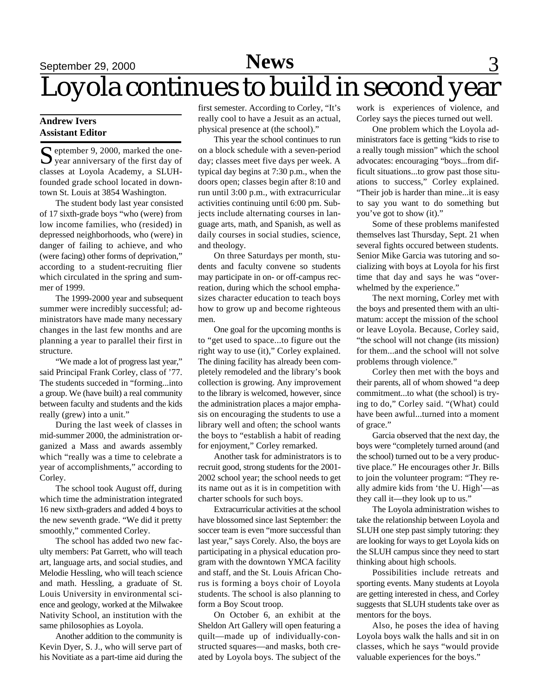# September 29, 2000 **News** 3 Loyola continues to build in second year

#### **Andrew Ivers Assistant Editor**

S eptember 9, 2000, marked the one-<br>S year anniversary of the first day of  $\sum$  year anniversary of the first day of classes at Loyola Academy, a SLUHfounded grade school located in downtown St. Louis at 3854 Washington.

The student body last year consisted of 17 sixth-grade boys "who (were) from low income families, who (resided) in depressed neighborhoods, who (were) in danger of failing to achieve, and who (were facing) other forms of deprivation," according to a student-recruiting flier which circulated in the spring and summer of 1999.

The 1999-2000 year and subsequent summer were incredibly successful; administrators have made many necessary changes in the last few months and are planning a year to parallel their first in structure.

"We made a lot of progress last year," said Principal Frank Corley, class of '77. The students succeded in "forming...into a group. We (have built) a real community between faculty and students and the kids really (grew) into a unit."

During the last week of classes in mid-summer 2000, the administration organized a Mass and awards assembly which "really was a time to celebrate a year of accomplishments," according to Corley.

The school took August off, during which time the administration integrated 16 new sixth-graders and added 4 boys to the new seventh grade. "We did it pretty smoothly," commented Corley.

The school has added two new faculty members: Pat Garrett, who will teach art, language arts, and social studies, and Melodie Hessling, who will teach science and math. Hessling, a graduate of St. Louis University in environmental science and geology, worked at the Milwakee Nativity School, an institution with the same philosophies as Loyola.

Another addition to the community is Kevin Dyer, S. J., who will serve part of his Novitiate as a part-time aid during the

first semester. According to Corley, "It's really cool to have a Jesuit as an actual, physical presence at (the school)."

This year the school continues to run on a block schedule with a seven-period day; classes meet five days per week. A typical day begins at 7:30 p.m., when the doors open; classes begin after 8:10 and run until 3:00 p.m., with extracurricular activities continuing until 6:00 pm. Subjects include alternating courses in language arts, math, and Spanish, as well as daily courses in social studies, science, and theology.

On three Saturdays per month, students and faculty convene so students may participate in on- or off-campus recreation, during which the school emphasizes character education to teach boys how to grow up and become righteous men.

One goal for the upcoming months is to "get used to space...to figure out the right way to use (it)," Corley explained. The dining facility has already been completely remodeled and the library's book collection is growing. Any improvement to the library is welcomed, however, since the administration places a major emphasis on encouraging the students to use a library well and often; the school wants the boys to "establish a habit of reading for enjoyment," Corley remarked.

Another task for administrators is to recruit good, strong students for the 2001- 2002 school year; the school needs to get its name out as it is in competition with charter schools for such boys.

Extracurricular activities at the school have blossomed since last September: the soccer team is even "more successful than last year," says Corely. Also, the boys are participating in a physical education program with the downtown YMCA facility and staff, and the St. Louis African Chorus is forming a boys choir of Loyola students. The school is also planning to form a Boy Scout troop.

On October 6, an exhibit at the Sheldon Art Gallery will open featuring a quilt—made up of individually-constructed squares—and masks, both created by Loyola boys. The subject of the

work is experiences of violence, and Corley says the pieces turned out well.

One problem which the Loyola administrators face is getting "kids to rise to a really tough mission" which the school advocates: encouraging "boys...from difficult situations...to grow past those situations to success," Corley explained. "Their job is harder than mine...it is easy to say you want to do something but you've got to show (it)."

Some of these problems manifested themselves last Thursday, Sept. 21 when several fights occured between students. Senior Mike Garcia was tutoring and socializing with boys at Loyola for his first time that day and says he was "overwhelmed by the experience."

The next morning, Corley met with the boys and presented them with an ultimatum: accept the mission of the school or leave Loyola. Because, Corley said, "the school will not change (its mission) for them...and the school will not solve problems through violence."

Corley then met with the boys and their parents, all of whom showed "a deep commitment...to what (the school) is trying to do," Corley said. "(What) could have been awful...turned into a moment of grace."

Garcia observed that the next day, the boys were "completely turned around (and the school) turned out to be a very productive place." He encourages other Jr. Bills to join the volunteer program: "They really admire kids from 'the U. High'—as they call it—they look up to us."

The Loyola administration wishes to take the relationship between Loyola and SLUH one step past simply tutoring: they are looking for ways to get Loyola kids on the SLUH campus since they need to start thinking about high schools.

Possibilities include retreats and sporting events. Many students at Loyola are getting interested in chess, and Corley suggests that SLUH students take over as mentors for the boys.

Also, he poses the idea of having Loyola boys walk the halls and sit in on classes, which he says "would provide valuable experiences for the boys."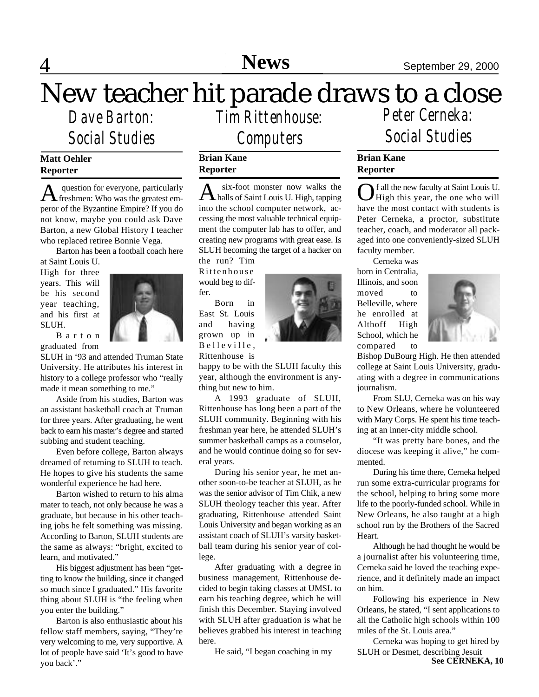4 **Editorial News** September 29, 2000

# New teacher hit parade draws to a close

*Dave Barton: Social Studies*

### **Matt Oehler Reporter**

A question for everyone, particularly<br>
Treshmen: Who was the greatest em question for everyone, particularly peror of the Byzantine Empire? If you do not know, maybe you could ask Dave Barton, a new Global History I teacher who replaced retiree Bonnie Vega.

Barton has been a football coach here

at Saint Louis U. High for three years. This will be his second year teaching, and his first at SLUH.



B a r t o n graduated from

SLUH in '93 and attended Truman State University. He attributes his interest in history to a college professor who "really made it mean something to me."

Aside from his studies, Barton was an assistant basketball coach at Truman for three years. After graduating, he went back to earn his master's degree and started subbing and student teaching.

Even before college, Barton always dreamed of returning to SLUH to teach. He hopes to give his students the same wonderful experience he had here.

Barton wished to return to his alma mater to teach, not only because he was a graduate, but because in his other teaching jobs he felt something was missing. According to Barton, SLUH students are the same as always: "bright, excited to learn, and motivated."

His biggest adjustment has been "getting to know the building, since it changed so much since I graduated." His favorite thing about SLUH is "the feeling when you enter the building."

Barton is also enthusiastic about his fellow staff members, saying, "They're very welcoming to me, very supportive. A lot of people have said 'It's good to have you back'."

*Tim Rittenhouse: Computers*

#### **Brian Kane Reporter**

A six-foot monster now walks the<br>halls of Saint Louis U. High, tapping six-foot monster now walks the into the school computer network, accessing the most valuable technical equipment the computer lab has to offer, and creating new programs with great ease. Is SLUH becoming the target of a hacker on

the run? Tim Rittenhouse would beg to differ.

Born in East St. Louis and having grown up in Belleville, Rittenhouse is



happy to be with the SLUH faculty this year, although the environment is anything but new to him.

A 1993 graduate of SLUH, Rittenhouse has long been a part of the SLUH community. Beginning with his freshman year here, he attended SLUH's summer basketball camps as a counselor, and he would continue doing so for several years.

During his senior year, he met another soon-to-be teacher at SLUH, as he was the senior advisor of Tim Chik, a new SLUH theology teacher this year. After graduating, Rittenhouse attended Saint Louis University and began working as an assistant coach of SLUH's varsity basketball team during his senior year of college.

After graduating with a degree in business management, Rittenhouse decided to begin taking classes at UMSL to earn his teaching degree, which he will finish this December. Staying involved with SLUH after graduation is what he believes grabbed his interest in teaching here.

He said, "I began coaching in my

*Peter Cerneka: Social Studies*

### **Brian Kane Reporter**

O f all the new faculty at Saint Louis U.<br>High this year, the one who will f all the new faculty at Saint Louis U. have the most contact with students is Peter Cerneka, a proctor, substitute teacher, coach, and moderator all packaged into one conveniently-sized SLUH faculty member.

Cerneka was born in Centralia, Illinois, and soon moved to Belleville, where he enrolled at Althoff High School, which he compared to



Bishop DuBourg High. He then attended college at Saint Louis University, graduating with a degree in communications journalism.

From SLU, Cerneka was on his way to New Orleans, where he volunteered with Mary Corps. He spent his time teaching at an inner-city middle school.

"It was pretty bare bones, and the diocese was keeping it alive," he commented.

During his time there, Cerneka helped run some extra-curricular programs for the school, helping to bring some more life to the poorly-funded school. While in New Orleans, he also taught at a high school run by the Brothers of the Sacred Heart.

Although he had thought he would be a journalist after his volunteering time, Cerneka said he loved the teaching experience, and it definitely made an impact on him.

Following his experience in New Orleans, he stated, "I sent applications to all the Catholic high schools within 100 miles of the St. Louis area."

Cerneka was hoping to get hired by SLUH or Desmet, describing Jesuit **See CERNEKA, 10**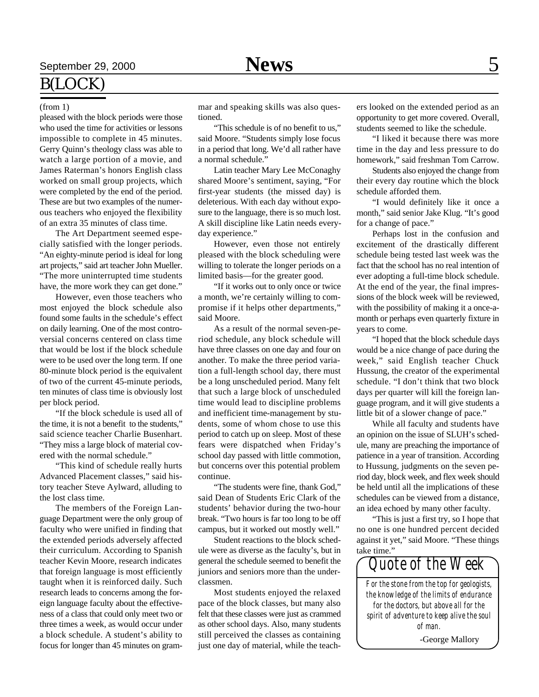#### (from 1)

pleased with the block periods were those who used the time for activities or lessons impossible to complete in 45 minutes. Gerry Quinn's theology class was able to watch a large portion of a movie, and James Raterman's honors English class worked on small group projects, which were completed by the end of the period. These are but two examples of the numerous teachers who enjoyed the flexibility of an extra 35 minutes of class time.

The Art Department seemed especially satisfied with the longer periods. "An eighty-minute period is ideal for long art projects," said art teacher John Mueller. "The more uninterrupted time students have, the more work they can get done."

However, even those teachers who most enjoyed the block schedule also found some faults in the schedule's effect on daily learning. One of the most controversial concerns centered on class time that would be lost if the block schedule were to be used over the long term. If one 80-minute block period is the equivalent of two of the current 45-minute periods, ten minutes of class time is obviously lost per block period.

"If the block schedule is used all of the time, it is not a benefit, to the students." said science teacher Charlie Busenhart. "They miss a large block of material covered with the normal schedule."

"This kind of schedule really hurts Advanced Placement classes," said history teacher Steve Aylward, alluding to the lost class time.

The members of the Foreign Language Department were the only group of faculty who were unified in finding that the extended periods adversely affected their curriculum. According to Spanish teacher Kevin Moore, research indicates that foreign language is most efficiently taught when it is reinforced daily. Such research leads to concerns among the foreign language faculty about the effectiveness of a class that could only meet two or three times a week, as would occur under a block schedule. A student's ability to focus for longer than 45 minutes on grammar and speaking skills was also questioned.

"This schedule is of no benefit to us," said Moore. "Students simply lose focus in a period that long. We'd all rather have a normal schedule."

Latin teacher Mary Lee McConaghy shared Moore's sentiment, saying, "For first-year students (the missed day) is deleterious. With each day without exposure to the language, there is so much lost. A skill discipline like Latin needs everyday experience."

However, even those not entirely pleased with the block scheduling were willing to tolerate the longer periods on a limited basis—for the greater good.

"If it works out to only once or twice a month, we're certainly willing to compromise if it helps other departments," said Moore.

As a result of the normal seven-period schedule, any block schedule will have three classes on one day and four on another. To make the three period variation a full-length school day, there must be a long unscheduled period. Many felt that such a large block of unscheduled time would lead to discipline problems and inefficient time-management by students, some of whom chose to use this period to catch up on sleep. Most of these fears were dispatched when Friday's school day passed with little commotion, but concerns over this potential problem continue.

"The students were fine, thank God," said Dean of Students Eric Clark of the students' behavior during the two-hour break. "Two hours is far too long to be off campus, but it worked out mostly well."

Student reactions to the block schedule were as diverse as the faculty's, but in general the schedule seemed to benefit the juniors and seniors more than the underclassmen.

Most students enjoyed the relaxed pace of the block classes, but many also felt that these classes were just as crammed as other school days. Also, many students still perceived the classes as containing just one day of material, while the teachers looked on the extended period as an opportunity to get more covered. Overall, students seemed to like the schedule.

"I liked it because there was more time in the day and less pressure to do homework," said freshman Tom Carrow.

Students also enjoyed the change from their every day routine which the block schedule afforded them.

"I would definitely like it once a month," said senior Jake Klug. "It's good for a change of pace."

Perhaps lost in the confusion and excitement of the drastically different schedule being tested last week was the fact that the school has no real intention of ever adopting a full-time block schedule. At the end of the year, the final impressions of the block week will be reviewed, with the possibility of making it a once-amonth or perhaps even quarterly fixture in years to come.

"I hoped that the block schedule days would be a nice change of pace during the week," said English teacher Chuck Hussung, the creator of the experimental schedule. "I don't think that two block days per quarter will kill the foreign language program, and it will give students a little bit of a slower change of pace."

While all faculty and students have an opinion on the issue of SLUH's schedule, many are preaching the importance of patience in a year of transition. According to Hussung, judgments on the seven period day, block week, and flex week should be held until all the implications of these schedules can be viewed from a distance, an idea echoed by many other faculty.

"This is just a first try, so I hope that no one is one hundred percent decided against it yet," said Moore. "These things take time."

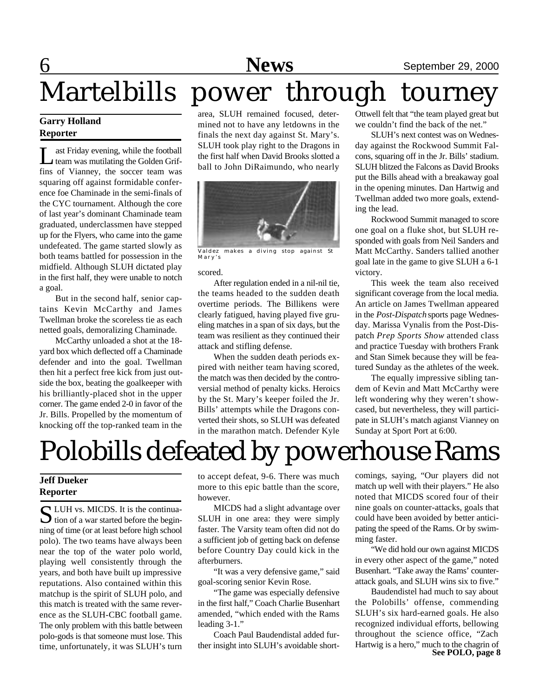**6** September 29, 2000

# Martelbills power through tourney

#### **Garry Holland Reporter**

Let a Friday evening, while the football<br>team was mutilating the Golden Grifast Friday evening, while the football fins of Vianney, the soccer team was squaring off against formidable conference foe Chaminade in the semi-finals of the CYC tournament. Although the core of last year's dominant Chaminade team graduated, underclassmen have stepped up for the Flyers, who came into the game undefeated. The game started slowly as both teams battled for possession in the midfield. Although SLUH dictated play in the first half, they were unable to notch a goal.

But in the second half, senior captains Kevin McCarthy and James Twellman broke the scoreless tie as each netted goals, demoralizing Chaminade.

McCarthy unloaded a shot at the 18 yard box which deflected off a Chaminade defender and into the goal. Twellman then hit a perfect free kick from just outside the box, beating the goalkeeper with his brilliantly-placed shot in the upper corner. The game ended 2-0 in favor of the Jr. Bills. Propelled by the momentum of knocking off the top-ranked team in the

area, SLUH remained focused, determined not to have any letdowns in the finals the next day against St. Mary's. SLUH took play right to the Dragons in the first half when David Brooks slotted a ball to John DiRaimundo, who nearly



Valdez makes a diving stop against St Mary's

#### scored.

After regulation ended in a nil-nil tie, the teams headed to the sudden death overtime periods. The Billikens were clearly fatigued, having played five grueling matches in a span of six days, but the team was resilient as they continued their attack and stifling defense.

When the sudden death periods expired with neither team having scored, the match was then decided by the controversial method of penalty kicks. Heroics by the St. Mary's keeper foiled the Jr. Bills' attempts while the Dragons converted their shots, so SLUH was defeated in the marathon match. Defender Kyle

Ottwell felt that "the team played great but we couldn't find the back of the net."

SLUH's next contest was on Wednesday against the Rockwood Summit Falcons, squaring off in the Jr. Bills' stadium. SLUH blitzed the Falcons as David Brooks put the Bills ahead with a breakaway goal in the opening minutes. Dan Hartwig and Twellman added two more goals, extending the lead.

Rockwood Summit managed to score one goal on a fluke shot, but SLUH responded with goals from Neil Sanders and Matt McCarthy. Sanders tallied another goal late in the game to give SLUH a 6-1 victory.

This week the team also received significant coverage from the local media. An article on James Twellman appeared in the *Post-Dispatch* sports page Wednesday. Marissa Vynalis from the Post-Dispatch *Prep Sports Show* attended class and practice Tuesday with brothers Frank and Stan Simek because they will be featured Sunday as the athletes of the week.

The equally impressive sibling tandem of Kevin and Matt McCarthy were left wondering why they weren't showcased, but nevertheless, they will participate in SLUH's match agianst Vianney on Sunday at Sport Port at 6:00.

# Polobills defeated by powerhouse Rams

### **Jeff Dueker Reporter**

S LUH vs. MICDS. It is the continua-<br>tion of a war started before the begin-LUH vs. MICDS. It is the continuaning of time (or at least before high school polo). The two teams have always been near the top of the water polo world, playing well consistently through the years, and both have built up impressive reputations. Also contained within this matchup is the spirit of SLUH polo, and this match is treated with the same reverence as the SLUH-CBC football game. The only problem with this battle between polo-gods is that someone must lose. This time, unfortunately, it was SLUH's turn

to accept defeat, 9-6. There was much more to this epic battle than the score, however.

MICDS had a slight advantage over SLUH in one area: they were simply faster. The Varsity team often did not do a sufficient job of getting back on defense before Country Day could kick in the afterburners.

"It was a very defensive game," said goal-scoring senior Kevin Rose.

"The game was especially defensive in the first half," Coach Charlie Busenhart amended, "which ended with the Rams leading 3-1."

Coach Paul Baudendistal added further insight into SLUH's avoidable short-

comings, saying, "Our players did not match up well with their players." He also noted that MICDS scored four of their nine goals on counter-attacks, goals that could have been avoided by better anticipating the speed of the Rams. Or by swimming faster.

"We did hold our own against MICDS in every other aspect of the game," noted Busenhart. "Take away the Rams' counterattack goals, and SLUH wins six to five."

**See POLO, page 8** Baudendistel had much to say about the Polobills' offense, commending SLUH's six hard-earned goals. He also recognized individual efforts, bellowing throughout the science office, "Zach Hartwig is a hero," much to the chagrin of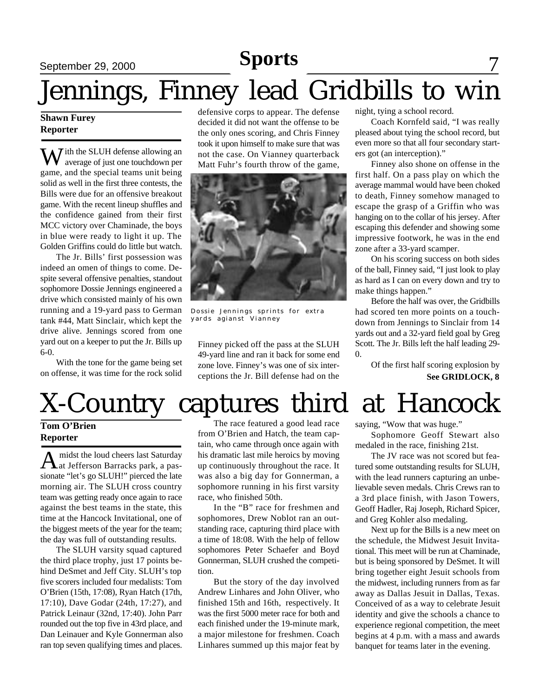## **Sports**

## September 29, 2000 **News** 7

# Jennings, Finney lead Gridbills to win

#### **Shawn Furey Reporter**

 $\sum$  *T* ith the SLUH defense allowing an average of just one touchdown per game, and the special teams unit being solid as well in the first three contests, the Bills were due for an offensive breakout game. With the recent lineup shuffles and the confidence gained from their first MCC victory over Chaminade, the boys in blue were ready to light it up. The Golden Griffins could do little but watch.

The Jr. Bills' first possession was indeed an omen of things to come. Despite several offensive penalties, standout sophomore Dossie Jennings engineered a drive which consisted mainly of his own running and a 19-yard pass to German tank #44, Matt Sinclair, which kept the drive alive. Jennings scored from one yard out on a keeper to put the Jr. Bills up 6-0.

With the tone for the game being set on offense, it was time for the rock solid

defensive corps to appear. The defense decided it did not want the offense to be the only ones scoring, and Chris Finney took it upon himself to make sure that was not the case. On Vianney quarterback Matt Fuhr's fourth throw of the game,



Dossie Jennings sprints for extra yards agianst Vianney

Finney picked off the pass at the SLUH 49-yard line and ran it back for some end zone love. Finney's was one of six interceptions the Jr. Bill defense had on the

night, tying a school record.

Coach Kornfeld said, "I was really pleased about tying the school record, but even more so that all four secondary starters got (an interception)."

Finney also shone on offense in the first half. On a pass play on which the average mammal would have been choked to death, Finney somehow managed to escape the grasp of a Griffin who was hanging on to the collar of his jersey. After escaping this defender and showing some impressive footwork, he was in the end zone after a 33-yard scamper.

On his scoring success on both sides of the ball, Finney said, "I just look to play as hard as I can on every down and try to make things happen."

Before the half was over, the Gridbills had scored ten more points on a touchdown from Jennings to Sinclair from 14 yards out and a 32-yard field goal by Greg Scott. The Jr. Bills left the half leading 29- 0.

**See GRIDLOCK, 8** Of the first half scoring explosion by

# X-Country captures third at Hancock

#### **Tom O'Brien Reporter**

A midst the loud cheers last Saturday<br>at Jefferson Barracks park, a pasmidst the loud cheers last Saturday sionate "let's go SLUH!" pierced the late morning air. The SLUH cross country team was getting ready once again to race against the best teams in the state, this time at the Hancock Invitational, one of the biggest meets of the year for the team; the day was full of outstanding results.

The SLUH varsity squad captured the third place trophy, just 17 points behind DeSmet and Jeff City. SLUH's top five scorers included four medalists: Tom O'Brien (15th, 17:08), Ryan Hatch (17th, 17:10), Dave Godar (24th, 17:27), and Patrick Leinaur (32nd, 17:40). John Parr rounded out the top five in 43rd place, and Dan Leinauer and Kyle Gonnerman also ran top seven qualifying times and places.

The race featured a good lead race from O'Brien and Hatch, the team captain, who came through once again with his dramatic last mile heroics by moving up continuously throughout the race. It was also a big day for Gonnerman, a sophomore running in his first varsity race, who finished 50th.

In the "B" race for freshmen and sophomores, Drew Noblot ran an outstanding race, capturing third place with a time of 18:08. With the help of fellow sophomores Peter Schaefer and Boyd Gonnerman, SLUH crushed the competition.

But the story of the day involved Andrew Linhares and John Oliver, who finished 15th and 16th, respectively. It was the first 5000 meter race for both and each finished under the 19-minute mark, a major milestone for freshmen. Coach Linhares summed up this major feat by

saying, "Wow that was huge."

Sophomore Geoff Stewart also medaled in the race, finishing 21st.

The JV race was not scored but featured some outstanding results for SLUH, with the lead runners capturing an unbelievable seven medals. Chris Crews ran to a 3rd place finish, with Jason Towers, Geoff Hadler, Raj Joseph, Richard Spicer, and Greg Kohler also medaling.

Next up for the Bills is a new meet on the schedule, the Midwest Jesuit Invitational. This meet will be run at Chaminade, but is being sponsored by DeSmet. It will bring together eight Jesuit schools from the midwest, including runners from as far away as Dallas Jesuit in Dallas, Texas. Conceived of as a way to celebrate Jesuit identity and give the schools a chance to experience regional competition, the meet begins at 4 p.m. with a mass and awards banquet for teams later in the evening.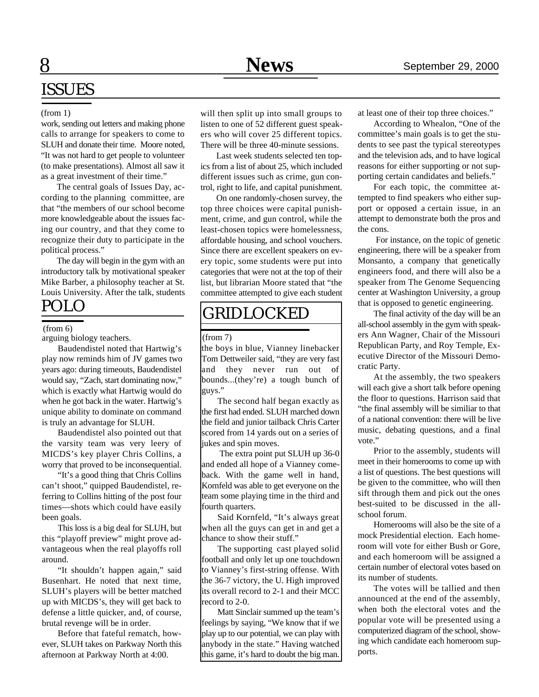# ISSUES

#### (from 1)

work, sending out letters and making phone calls to arrange for speakers to come to SLUH and donate their time. Moore noted, "It was not hard to get people to volunteer (to make presentations). Almost all saw it as a great investment of their time."

The central goals of Issues Day, according to the planning committee, are that "the members of our school become more knowledgeable about the issues facing our country, and that they come to recognize their duty to participate in the political process."

The day will begin in the gym with an introductory talk by motivational speaker Mike Barber, a philosophy teacher at St. Louis University. After the talk, students

#### (from 6)

arguing biology teachers.

Baudendistel noted that Hartwig's play now reminds him of JV games two years ago: during timeouts, Baudendistel would say, "Zach, start dominating now," which is exactly what Hartwig would do when he got back in the water. Hartwig's unique ability to dominate on command is truly an advantage for SLUH.

Baudendistel also pointed out that the varsity team was very leery of MICDS's key player Chris Collins, a worry that proved to be inconsequential.

"It's a good thing that Chris Collins can't shoot," quipped Baudendistel, referring to Collins hitting of the post four times—shots which could have easily been goals.

This loss is a big deal for SLUH, but this "playoff preview" might prove advantageous when the real playoffs roll around.

"It shouldn't happen again," said Busenhart. He noted that next time, SLUH's players will be better matched up with MICDS's, they will get back to defense a little quicker, and, of course, brutal revenge will be in order.

Before that fateful rematch, however, SLUH takes on Parkway North this afternoon at Parkway North at 4:00.

will then split up into small groups to listen to one of 52 different guest speakers who will cover 25 different topics. There will be three 40-minute sessions.

Last week students selected ten topics from a list of about 25, which included different issues such as crime, gun control, right to life, and capital punishment.

On one randomly-chosen survey, the top three choices were capital punishment, crime, and gun control, while the least-chosen topics were homelessness, affordable housing, and school vouchers. Since there are excellent speakers on every topic, some students were put into categories that were not at the top of their list, but librarian Moore stated that "the committee attempted to give each student

# POLO GRIDLOCKED

#### (from 7)

the boys in blue, Vianney linebacker Tom Dettweiler said, "they are very fast and they never run out of bounds...(they're) a tough bunch of guys."

The second half began exactly as the first had ended. SLUH marched down the field and junior tailback Chris Carter scored from 14 yards out on a series of jukes and spin moves.

 The extra point put SLUH up 36-0 and ended all hope of a Vianney comeback. With the game well in hand, Kornfeld was able to get everyone on the team some playing time in the third and fourth quarters.

Said Kornfeld, "It's always great when all the guys can get in and get a chance to show their stuff."

The supporting cast played solid football and only let up one touchdown to Vianney's first-string offense. With the 36-7 victory, the U. High improved its overall record to 2-1 and their MCC record to 2-0.

Matt Sinclair summed up the team's feelings by saying, "We know that if we play up to our potential, we can play with anybody in the state." Having watched this game, it's hard to doubt the big man.

at least one of their top three choices."

According to Whealon, "One of the committee's main goals is to get the students to see past the typical stereotypes and the television ads, and to have logical reasons for either supporting or not supporting certain candidates and beliefs."

For each topic, the committee attempted to find speakers who either support or opposed a certain issue, in an attempt to demonstrate both the pros and the cons.

 For instance, on the topic of genetic engineering, there will be a speaker from Monsanto, a company that genetically engineers food, and there will also be a speaker from The Genome Sequencing center at Washington University, a group that is opposed to genetic engineering.

The final activity of the day will be an all-school assembly in the gym with speakers Ann Wagner, Chair of the Missouri Republican Party, and Roy Temple, Executive Director of the Missouri Democratic Party.

At the assembly, the two speakers will each give a short talk before opening the floor to questions. Harrison said that "the final assembly will be similiar to that of a national convention: there will be live music, debating questions, and a final vote."

Prior to the assembly, students will meet in their homerooms to come up with a list of questions. The best questions will be given to the committee, who will then sift through them and pick out the ones best-suited to be discussed in the allschool forum.

Homerooms will also be the site of a mock Presidential election. Each homeroom will vote for either Bush or Gore, and each homeroom will be assigned a certain number of electoral votes based on its number of students.

The votes will be tallied and then announced at the end of the assembly, when both the electoral votes and the popular vote will be presented using a computerized diagram of the school, showing which candidate each homeroom supports.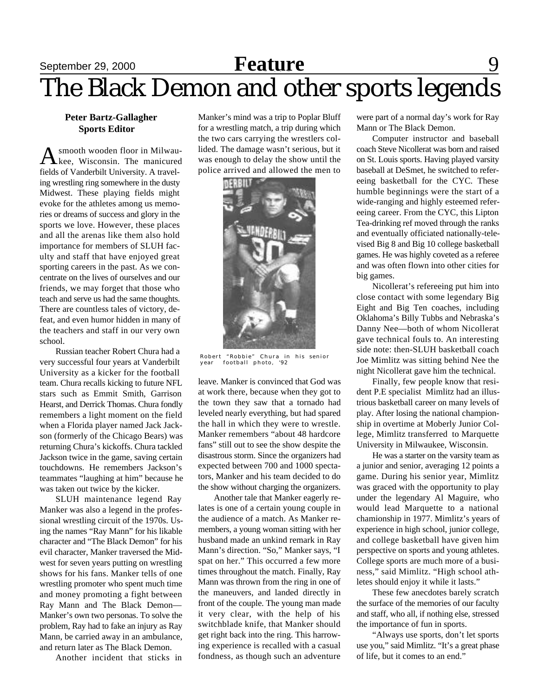# September 29, 2000 **Feature** 9 The Black Demon and other sports legends

#### **Peter Bartz-Gallagher Sports Editor**

A smooth wooden floor in Milwausmooth wooden floor in Milwaufields of Vanderbilt University. A traveling wrestling ring somewhere in the dusty Midwest. These playing fields might evoke for the athletes among us memories or dreams of success and glory in the sports we love. However, these places and all the arenas like them also hold importance for members of SLUH faculty and staff that have enjoyed great sporting careers in the past. As we concentrate on the lives of ourselves and our friends, we may forget that those who teach and serve us had the same thoughts. There are countless tales of victory, defeat, and even humor hidden in many of the teachers and staff in our very own school.

Russian teacher Robert Chura had a very successful four years at Vanderbilt University as a kicker for the football team. Chura recalls kicking to future NFL stars such as Emmit Smith, Garrison Hearst, and Derrick Thomas. Chura fondly remembers a light moment on the field when a Florida player named Jack Jackson (formerly of the Chicago Bears) was returning Chura's kickoffs. Chura tackled Jackson twice in the game, saving certain touchdowns. He remembers Jackson's teammates "laughing at him" because he was taken out twice by the kicker.

SLUH maintenance legend Ray Manker was also a legend in the professional wrestling circuit of the 1970s. Using the names "Ray Mann" for his likable character and "The Black Demon" for his evil character, Manker traversed the Midwest for seven years putting on wrestling shows for his fans. Manker tells of one wrestling promoter who spent much time and money promoting a fight between Ray Mann and The Black Demon— Manker's own two personas. To solve the problem, Ray had to fake an injury as Ray Mann, be carried away in an ambulance, and return later as The Black Demon.

Another incident that sticks in

Manker's mind was a trip to Poplar Bluff for a wrestling match, a trip during which the two cars carrying the wrestlers collided. The damage wasn't serious, but it was enough to delay the show until the police arrived and allowed the men to



Robert "Robbie" Chura in his senior year football photo, '92

leave. Manker is convinced that God was at work there, because when they got to the town they saw that a tornado had leveled nearly everything, but had spared the hall in which they were to wrestle. Manker remembers "about 48 hardcore fans" still out to see the show despite the disastrous storm. Since the organizers had expected between 700 and 1000 spectators, Manker and his team decided to do the show without charging the organizers.

Another tale that Manker eagerly relates is one of a certain young couple in the audience of a match. As Manker remembers, a young woman sitting with her husband made an unkind remark in Ray Mann's direction. "So," Manker says, "I spat on her." This occurred a few more times throughout the match. Finally, Ray Mann was thrown from the ring in one of the maneuvers, and landed directly in front of the couple. The young man made it very clear, with the help of his switchblade knife, that Manker should get right back into the ring. This harrowing experience is recalled with a casual fondness, as though such an adventure

were part of a normal day's work for Ray Mann or The Black Demon.

Computer instructor and baseball coach Steve Nicollerat was born and raised on St. Louis sports. Having played varsity baseball at DeSmet, he switched to refereeing basketball for the CYC. These humble beginnings were the start of a wide-ranging and highly esteemed refereeing career. From the CYC, this Lipton Tea-drinking ref moved through the ranks and eventually officiated nationally-televised Big 8 and Big 10 college basketball games. He was highly coveted as a referee and was often flown into other cities for big games.

Nicollerat's refereeing put him into close contact with some legendary Big Eight and Big Ten coaches, including Oklahoma's Billy Tubbs and Nebraska's Danny Nee—both of whom Nicollerat gave technical fouls to. An interesting side note: then-SLUH basketball coach Joe Mimlitz was sitting behind Nee the night Nicollerat gave him the technical.

Finally, few people know that resident P.E specialist Mimlitz had an illustrious basketball career on many levels of play. After losing the national championship in overtime at Moberly Junior College, Mimlitz transferred to Marquette University in Milwaukee, Wisconsin.

He was a starter on the varsity team as a junior and senior, averaging 12 points a game. During his senior year, Mimlitz was graced with the opportunity to play under the legendary Al Maguire, who would lead Marquette to a national chamionship in 1977. Mimlitz's years of experience in high school, junior college, and college basketball have given him perspective on sports and young athletes. College sports are much more of a business," said Mimlitz. "High school athletes should enjoy it while it lasts."

These few anecdotes barely scratch the surface of the memories of our faculty and staff, who all, if nothing else, stressed the importance of fun in sports.

"Always use sports, don't let sports use you," said Mimlitz. "It's a great phase of life, but it comes to an end."